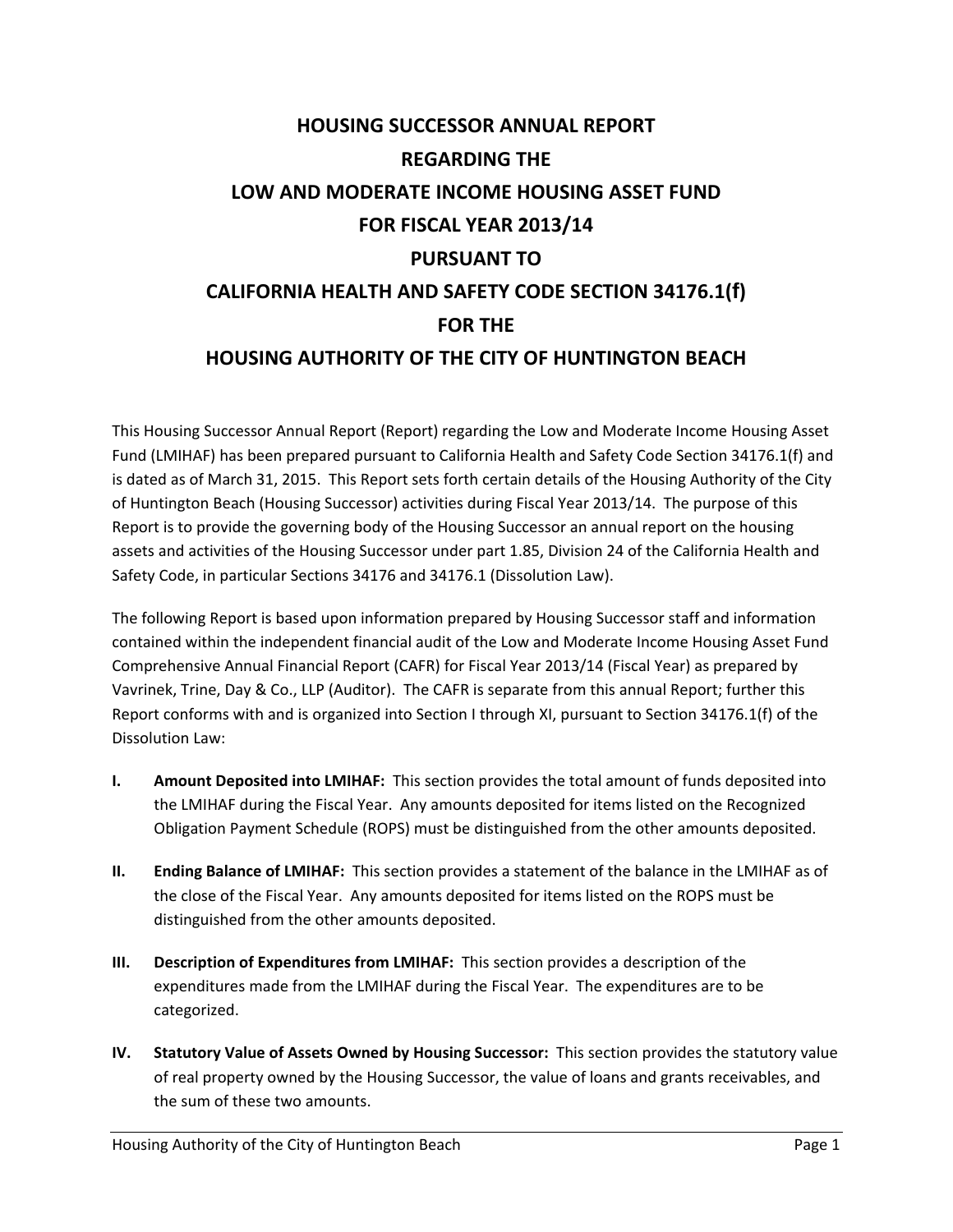# **HOUSING SUCCESSOR ANNUAL REPORT REGARDING THE LOW AND MODERATE INCOME HOUSING ASSET FUND FOR FISCAL YEAR 2013/14 PURSUANT TO CALIFORNIA HEALTH AND SAFETY CODE SECTION 34176.1(f) FOR THE HOUSING AUTHORITY OF THE CITY OF HUNTINGTON BEACH**

This Housing Successor Annual Report (Report) regarding the Low and Moderate Income Housing Asset Fund (LMIHAF) has been prepared pursuant to California Health and Safety Code Section 34176.1(f) and is dated as of March 31, 2015. This Report sets forth certain details of the Housing Authority of the City of Huntington Beach (Housing Successor) activities during Fiscal Year 2013/14. The purpose of this Report is to provide the governing body of the Housing Successor an annual report on the housing assets and activities of the Housing Successor under part 1.85, Division 24 of the California Health and Safety Code, in particular Sections 34176 and 34176.1 (Dissolution Law).

The following Report is based upon information prepared by Housing Successor staff and information contained within the independent financial audit of the Low and Moderate Income Housing Asset Fund Comprehensive Annual Financial Report (CAFR) for Fiscal Year 2013/14 (Fiscal Year) as prepared by Vavrinek, Trine, Day & Co., LLP (Auditor). The CAFR is separate from this annual Report; further this Report conforms with and is organized into Section I through XI, pursuant to Section 34176.1(f) of the Dissolution Law:

- **I. Amount Deposited into LMIHAF:** This section provides the total amount of funds deposited into the LMIHAF during the Fiscal Year. Any amounts deposited for items listed on the Recognized Obligation Payment Schedule (ROPS) must be distinguished from the other amounts deposited.
- **II. Ending Balance of LMIHAF:** This section provides a statement of the balance in the LMIHAF as of the close of the Fiscal Year. Any amounts deposited for items listed on the ROPS must be distinguished from the other amounts deposited.
- **III. Description of Expenditures from LMIHAF:** This section provides a description of the expenditures made from the LMIHAF during the Fiscal Year. The expenditures are to be categorized.
- **IV. Statutory Value of Assets Owned by Housing Successor:** This section provides the statutory value of real property owned by the Housing Successor, the value of loans and grants receivables, and the sum of these two amounts.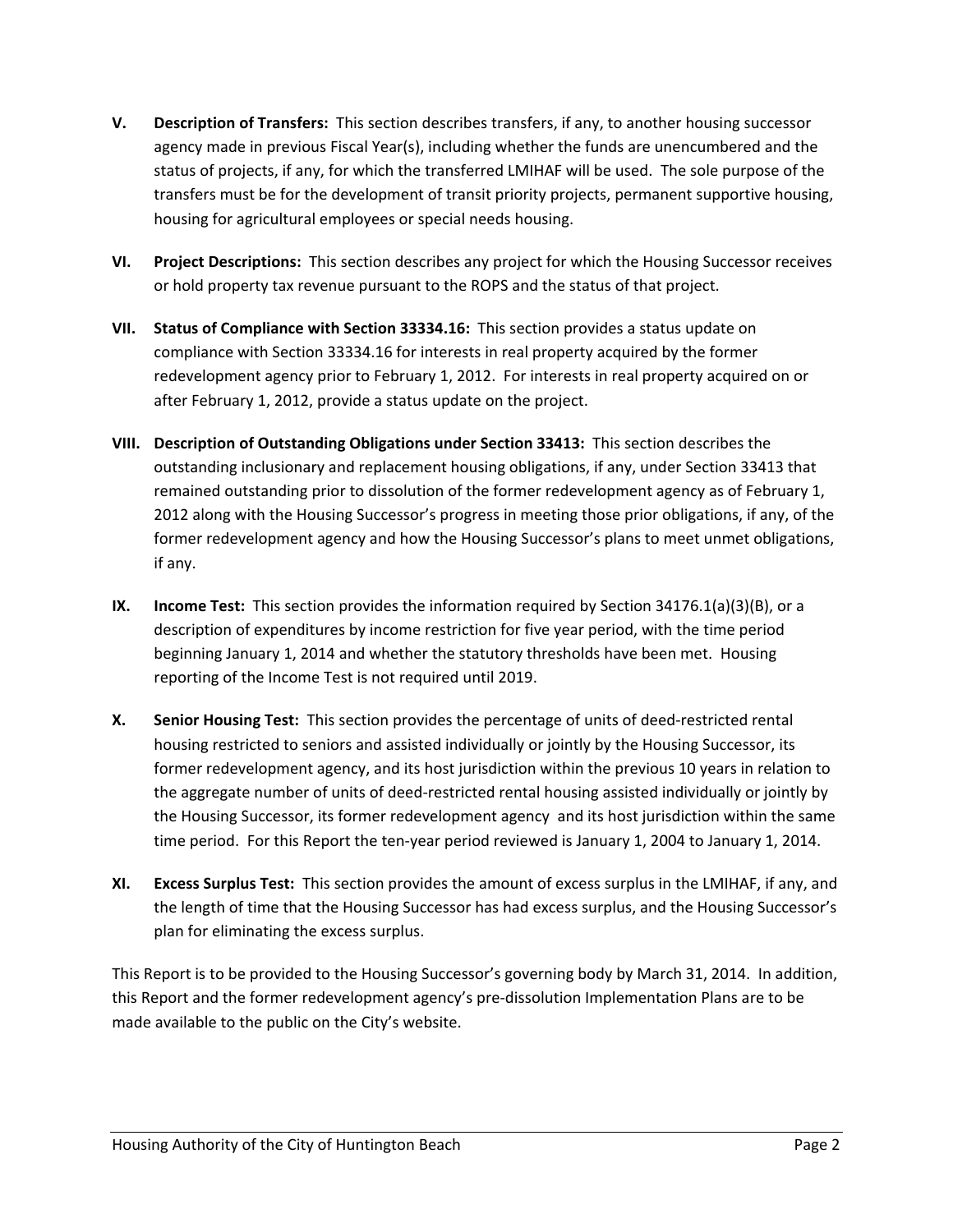- **V. Description of Transfers:** This section describes transfers, if any, to another housing successor agency made in previous Fiscal Year(s), including whether the funds are unencumbered and the status of projects, if any, for which the transferred LMIHAF will be used. The sole purpose of the transfers must be for the development of transit priority projects, permanent supportive housing, housing for agricultural employees or special needs housing.
- **VI. Project Descriptions:** This section describes any project for which the Housing Successor receives or hold property tax revenue pursuant to the ROPS and the status of that project.
- **VII. Status of Compliance with Section 33334.16:** This section provides a status update on compliance with Section 33334.16 for interests in real property acquired by the former redevelopment agency prior to February 1, 2012. For interests in real property acquired on or after February 1, 2012, provide a status update on the project.
- **VIII. Description of Outstanding Obligations under Section 33413:** This section describes the outstanding inclusionary and replacement housing obligations, if any, under Section 33413 that remained outstanding prior to dissolution of the former redevelopment agency as of February 1, 2012 along with the Housing Successor's progress in meeting those prior obligations, if any, of the former redevelopment agency and how the Housing Successor's plans to meet unmet obligations, if any.
- **IX. Income Test:** This section provides the information required by Section 34176.1(a)(3)(B), or a description of expenditures by income restriction for five year period, with the time period beginning January 1, 2014 and whether the statutory thresholds have been met. Housing reporting of the Income Test is not required until 2019.
- **X. Senior Housing Test:** This section provides the percentage of units of deed‐restricted rental housing restricted to seniors and assisted individually or jointly by the Housing Successor, its former redevelopment agency, and its host jurisdiction within the previous 10 years in relation to the aggregate number of units of deed‐restricted rental housing assisted individually or jointly by the Housing Successor, its former redevelopment agency and its host jurisdiction within the same time period. For this Report the ten‐year period reviewed is January 1, 2004 to January 1, 2014.
- **XI. Excess Surplus Test:** This section provides the amount of excess surplus in the LMIHAF, if any, and the length of time that the Housing Successor has had excess surplus, and the Housing Successor's plan for eliminating the excess surplus.

This Report is to be provided to the Housing Successor's governing body by March 31, 2014. In addition, this Report and the former redevelopment agency's pre‐dissolution Implementation Plans are to be made available to the public on the City's website.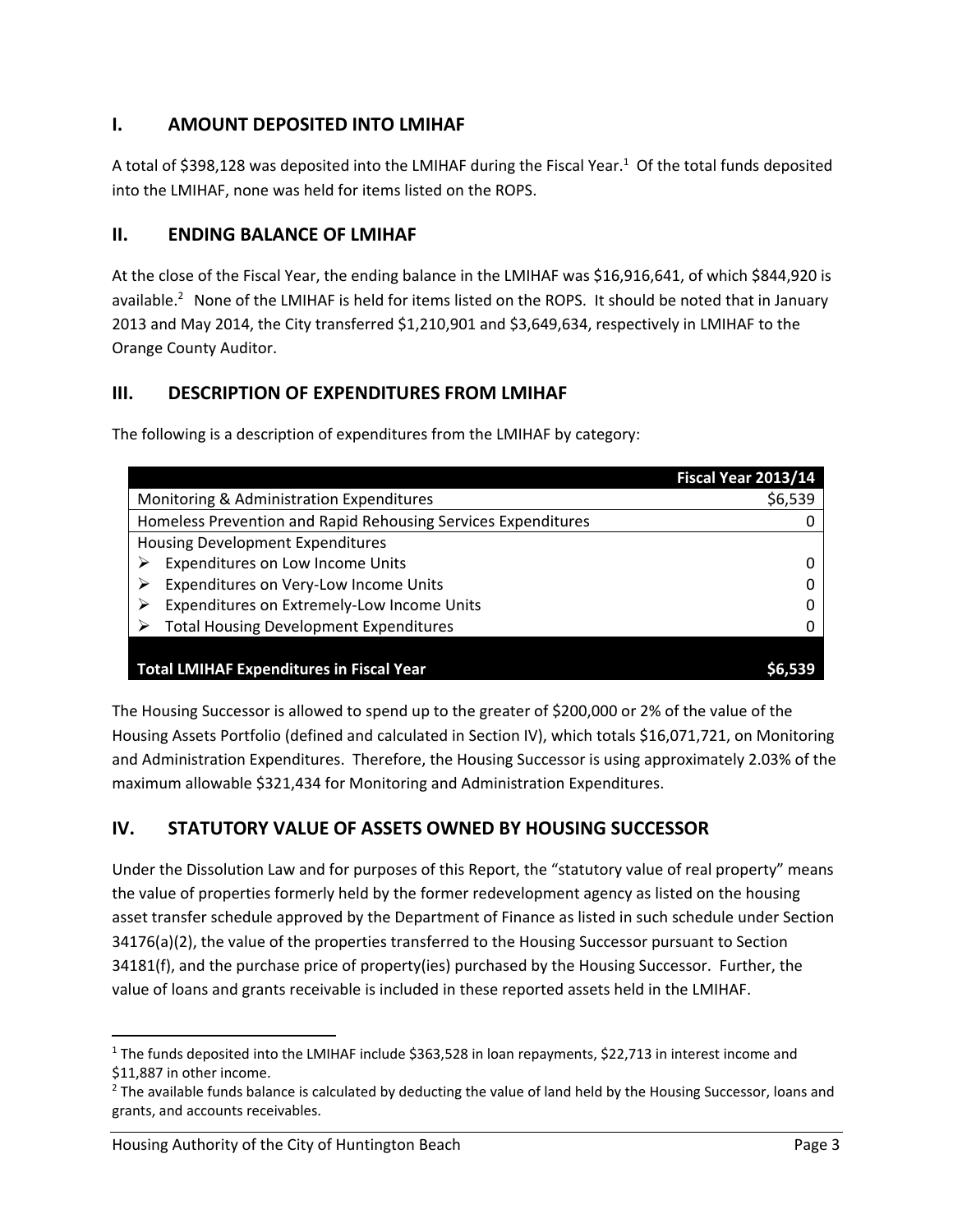# **I. AMOUNT DEPOSITED INTO LMIHAF**

A total of \$398,128 was deposited into the LMIHAF during the Fiscal Year.<sup>1</sup> Of the total funds deposited into the LMIHAF, none was held for items listed on the ROPS.

# **II. ENDING BALANCE OF LMIHAF**

At the close of the Fiscal Year, the ending balance in the LMIHAF was \$16,916,641, of which \$844,920 is available.<sup>2</sup> None of the LMIHAF is held for items listed on the ROPS. It should be noted that in January 2013 and May 2014, the City transferred \$1,210,901 and \$3,649,634, respectively in LMIHAF to the Orange County Auditor.

# **III. DESCRIPTION OF EXPENDITURES FROM LMIHAF**

The following is a description of expenditures from the LMIHAF by category:

|                                                               | Fiscal Year 2013/14 |
|---------------------------------------------------------------|---------------------|
| Monitoring & Administration Expenditures                      | \$6,539             |
| Homeless Prevention and Rapid Rehousing Services Expenditures |                     |
| <b>Housing Development Expenditures</b>                       |                     |
| Expenditures on Low Income Units                              |                     |
| Expenditures on Very-Low Income Units                         |                     |
| Expenditures on Extremely-Low Income Units                    |                     |
| <b>Total Housing Development Expenditures</b>                 |                     |
|                                                               |                     |
| <b>Total LMIHAF Expenditures in Fiscal Year</b>               |                     |

The Housing Successor is allowed to spend up to the greater of \$200,000 or 2% of the value of the Housing Assets Portfolio (defined and calculated in Section IV), which totals \$16,071,721, on Monitoring and Administration Expenditures. Therefore, the Housing Successor is using approximately 2.03% of the maximum allowable \$321,434 for Monitoring and Administration Expenditures.

# **IV. STATUTORY VALUE OF ASSETS OWNED BY HOUSING SUCCESSOR**

Under the Dissolution Law and for purposes of this Report, the "statutory value of real property" means the value of properties formerly held by the former redevelopment agency as listed on the housing asset transfer schedule approved by the Department of Finance as listed in such schedule under Section 34176(a)(2), the value of the properties transferred to the Housing Successor pursuant to Section 34181(f), and the purchase price of property(ies) purchased by the Housing Successor. Further, the value of loans and grants receivable is included in these reported assets held in the LMIHAF.

<sup>&</sup>lt;sup>1</sup> The funds deposited into the LMIHAF include \$363,528 in loan repayments, \$22,713 in interest income and \$11,887 in other income.

<sup>&</sup>lt;sup>2</sup> The available funds balance is calculated by deducting the value of land held by the Housing Successor, loans and grants, and accounts receivables.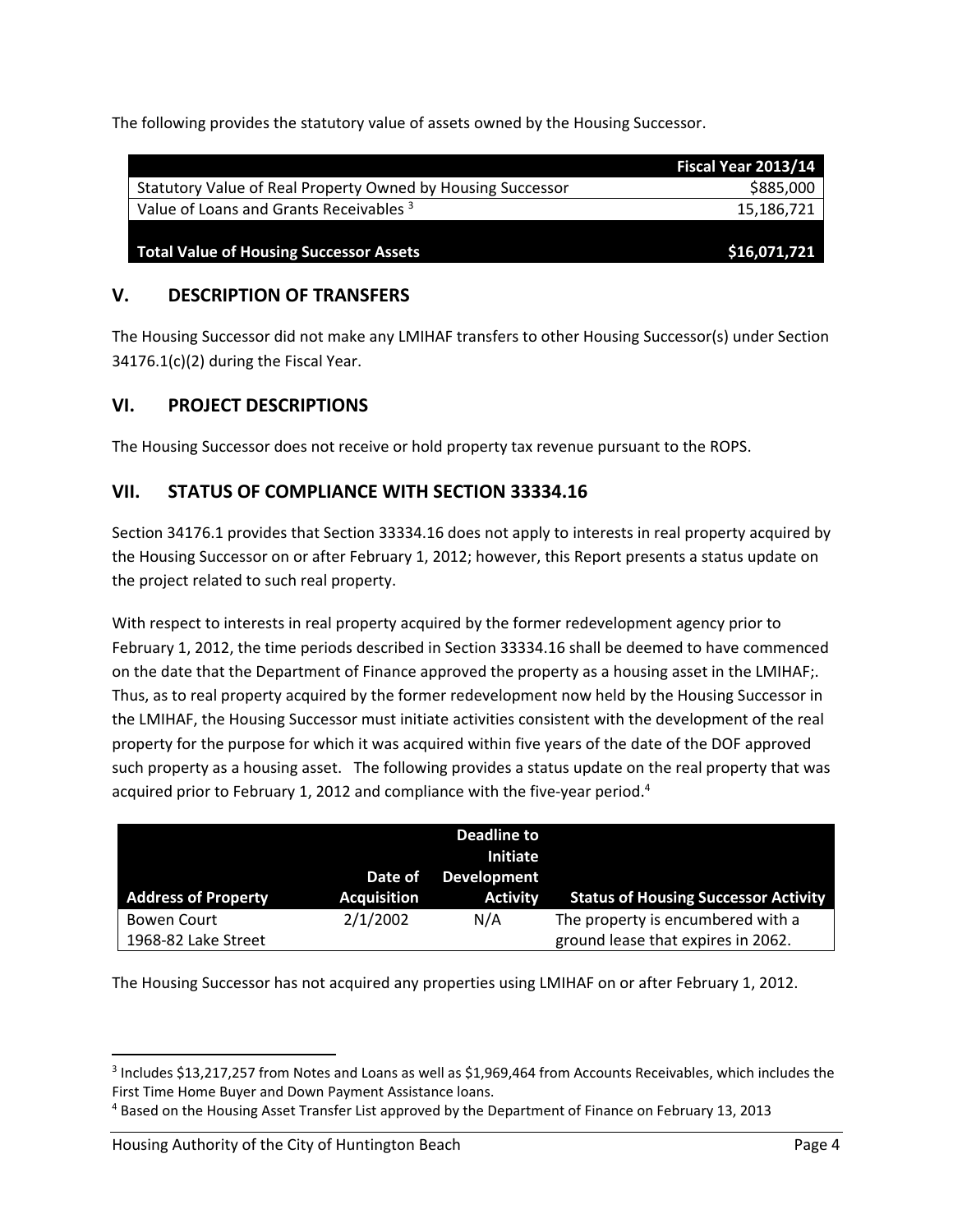The following provides the statutory value of assets owned by the Housing Successor.

|                                                             | Fiscal Year 2013/14 |
|-------------------------------------------------------------|---------------------|
| Statutory Value of Real Property Owned by Housing Successor | \$885,000           |
| Value of Loans and Grants Receivables <sup>3</sup>          | 15,186,721          |
|                                                             |                     |
| <b>Total Value of Housing Successor Assets</b>              | \$16,071,721        |

### **V. DESCRIPTION OF TRANSFERS**

The Housing Successor did not make any LMIHAF transfers to other Housing Successor(s) under Section 34176.1(c)(2) during the Fiscal Year.

#### **VI. PROJECT DESCRIPTIONS**

The Housing Successor does not receive or hold property tax revenue pursuant to the ROPS.

#### **VII. STATUS OF COMPLIANCE WITH SECTION 33334.16**

Section 34176.1 provides that Section 33334.16 does not apply to interests in real property acquired by the Housing Successor on or after February 1, 2012; however, this Report presents a status update on the project related to such real property.

With respect to interests in real property acquired by the former redevelopment agency prior to February 1, 2012, the time periods described in Section 33334.16 shall be deemed to have commenced on the date that the Department of Finance approved the property as a housing asset in the LMIHAF;. Thus, as to real property acquired by the former redevelopment now held by the Housing Successor in the LMIHAF, the Housing Successor must initiate activities consistent with the development of the real property for the purpose for which it was acquired within five years of the date of the DOF approved such property as a housing asset. The following provides a status update on the real property that was acquired prior to February 1, 2012 and compliance with the five-year period.<sup>4</sup>

|                            |                               | Deadline to<br><b>Initiate</b>        |                                             |
|----------------------------|-------------------------------|---------------------------------------|---------------------------------------------|
| <b>Address of Property</b> | Date of<br><b>Acquisition</b> | <b>Development</b><br><b>Activity</b> | <b>Status of Housing Successor Activity</b> |
| <b>Bowen Court</b>         | 2/1/2002                      | N/A                                   | The property is encumbered with a           |
| 1968-82 Lake Street        |                               |                                       | ground lease that expires in 2062.          |

The Housing Successor has not acquired any properties using LMIHAF on or after February 1, 2012.

<sup>3</sup> Includes \$13,217,257 from Notes and Loans as well as \$1,969,464 from Accounts Receivables, which includes the First Time Home Buyer and Down Payment Assistance loans.

<sup>4</sup> Based on the Housing Asset Transfer List approved by the Department of Finance on February 13, 2013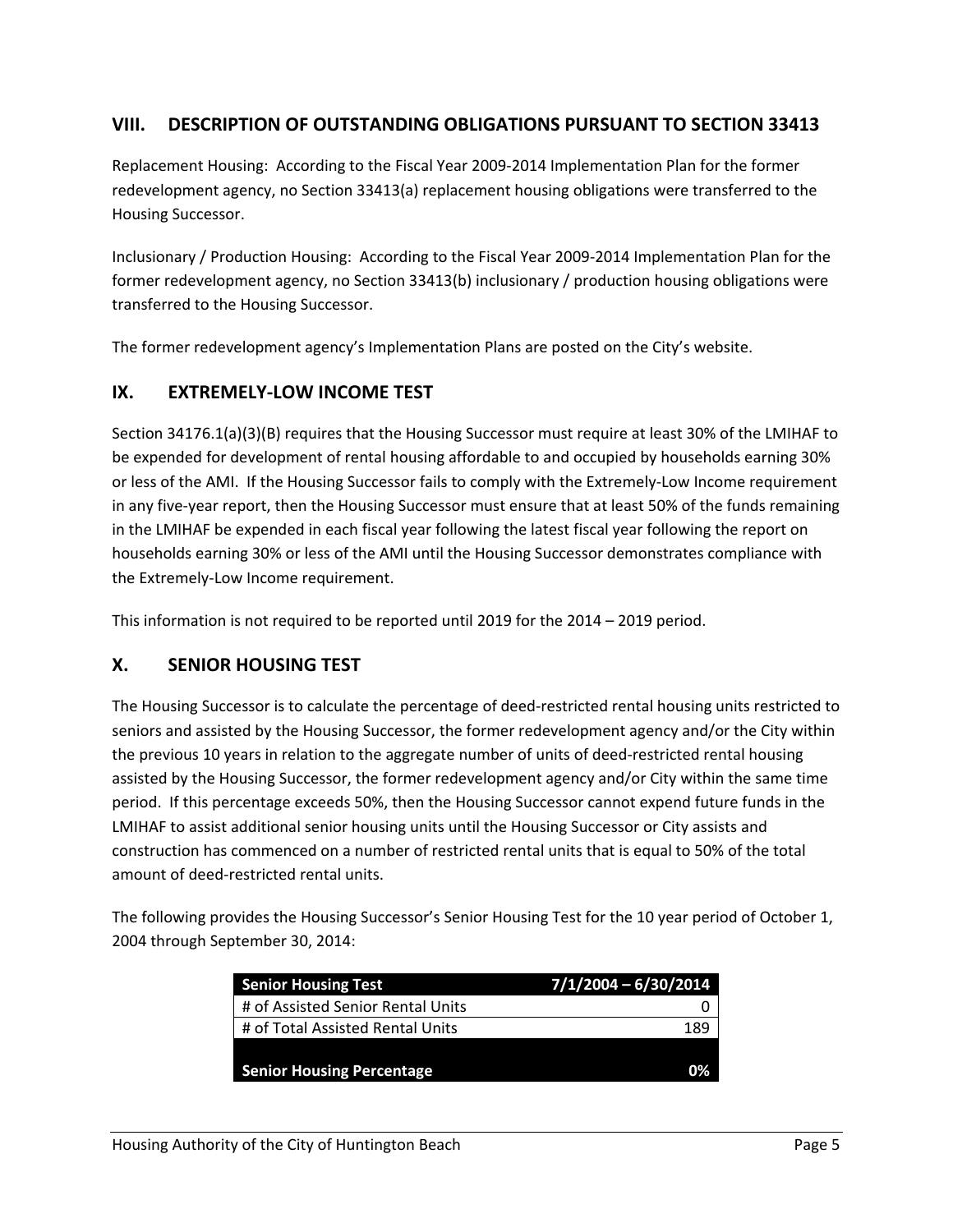#### **VIII. DESCRIPTION OF OUTSTANDING OBLIGATIONS PURSUANT TO SECTION 33413**

Replacement Housing: According to the Fiscal Year 2009‐2014 Implementation Plan for the former redevelopment agency, no Section 33413(a) replacement housing obligations were transferred to the Housing Successor.

Inclusionary / Production Housing: According to the Fiscal Year 2009‐2014 Implementation Plan for the former redevelopment agency, no Section 33413(b) inclusionary / production housing obligations were transferred to the Housing Successor.

The former redevelopment agency's Implementation Plans are posted on the City's website.

#### **IX. EXTREMELY‐LOW INCOME TEST**

Section 34176.1(a)(3)(B) requires that the Housing Successor must require at least 30% of the LMIHAF to be expended for development of rental housing affordable to and occupied by households earning 30% or less of the AMI. If the Housing Successor fails to comply with the Extremely‐Low Income requirement in any five‐year report, then the Housing Successor must ensure that at least 50% of the funds remaining in the LMIHAF be expended in each fiscal year following the latest fiscal year following the report on households earning 30% or less of the AMI until the Housing Successor demonstrates compliance with the Extremely‐Low Income requirement.

This information is not required to be reported until 2019 for the 2014 – 2019 period.

#### **X. SENIOR HOUSING TEST**

The Housing Successor is to calculate the percentage of deed‐restricted rental housing units restricted to seniors and assisted by the Housing Successor, the former redevelopment agency and/or the City within the previous 10 years in relation to the aggregate number of units of deed-restricted rental housing assisted by the Housing Successor, the former redevelopment agency and/or City within the same time period. If this percentage exceeds 50%, then the Housing Successor cannot expend future funds in the LMIHAF to assist additional senior housing units until the Housing Successor or City assists and construction has commenced on a number of restricted rental units that is equal to 50% of the total amount of deed‐restricted rental units.

The following provides the Housing Successor's Senior Housing Test for the 10 year period of October 1, 2004 through September 30, 2014:

| <b>Senior Housing Test</b>        | $7/1/2004 - 6/30/2014$ |
|-----------------------------------|------------------------|
| # of Assisted Senior Rental Units |                        |
| # of Total Assisted Rental Units  | 189                    |
|                                   |                        |
| <b>Senior Housing Percentage</b>  | በ%                     |